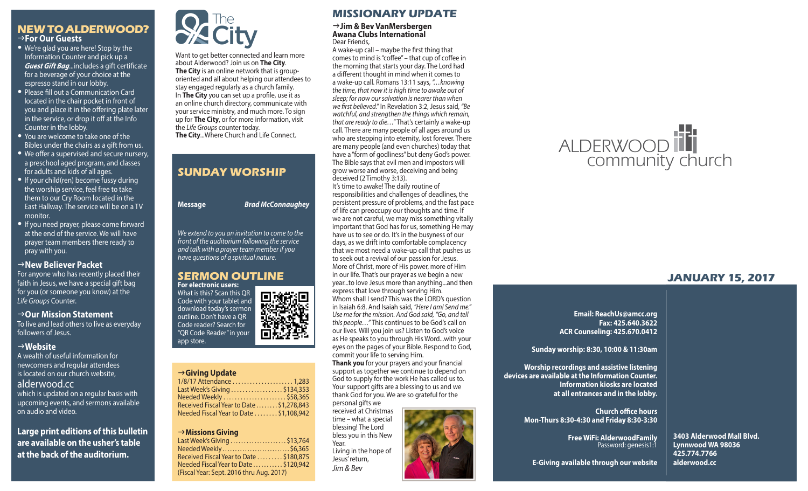## **NEW TO ALDERWOOD?** g**For Our Guests**

- We're glad you are here! Stop by the Information Counter and pick up a *Guest Gift Bag*...includes a gift certificate for a beverage of your choice at the espresso stand in our lobby.
- Please fill out a Communication Card located in the chair pocket in front of you and place it in the offering plate later in the service, or drop it off at the Info Counter in the lobby.
- You are welcome to take one of the Bibles under the chairs as a gift from us.
- We offer a supervised and secure nursery, a preschool aged program, and classes for adults and kids of all ages.
- If your child(ren) become fussy during the worship service, feel free to take them to our Cry Room located in the East Hallway. The service will be on a TV monitor.
- If you need prayer, please come forward at the end of the service. We will have prayer team members there ready to pray with you.

#### g**New Believer Packet**

For anyone who has recently placed their faith in Jesus, we have a special gift bag for you (or someone you know) at the *Life Groups* Counter.

#### →Our Mission Statement

To live and lead others to live as everyday followers of Jesus.

#### g**Website**

A wealth of useful information for newcomers and regular attendees is located on our church website, alderwood.cc which is updated on a regular basis with upcoming events, and sermons available on audio and video.

**Large print editions of this bulletin are available on the usher's table at the back of the auditorium.**



Want to get better connected and learn more about Alderwood? Join us on **The City**. **The City** is an online network that is grouporiented and all about helping our attendees to stay engaged regularly as a church family. In **The City** you can set up a profile, use it as an online church directory, communicate with your service ministry, and much more. To sign up for **The City**, or for more information, visit the *Life Groups* counter today. **The City**...Where Church and Life Connect.

# **SUNDAY WORSHIP Message** *Brad McConnaughey We extend to you an invitation to come to the front of the auditorium following the service and talk with a prayer team member if you have questions of a spiritual nature.*



# g**Giving Update**

app store.

| Last Week's Giving \$134,353              |  |
|-------------------------------------------|--|
| Needed Weekly \$58,365                    |  |
| Received Fiscal Year to Date  \$1,278,843 |  |
| Needed Fiscal Year to Date \$1,108,942    |  |

#### g**Missions Giving**

| Last Week's Giving \$13,764              |  |
|------------------------------------------|--|
| Needed Weekly  \$6,365                   |  |
| Received Fiscal Year to Date \$180,875   |  |
| Needed Fiscal Year to Date \$120,942     |  |
| (Fiscal Year: Sept. 2016 thru Aug. 2017) |  |

## **MISSIONARY UPDATE**

#### g**Jim & Bev VanMersbergen Awana Clubs International** Dear Friends,

A wake-up call – maybe the first thing that comes to mind is "coffee" – that cup of coffee in the morning that starts your day. The Lord had a different thought in mind when it comes to a wake-up call. Romans 13:11 says, *"…knowing the time, that now it is high time to awake out of sleep; for now our salvation is nearer than when we first believed."* In Revelation 3:2, Jesus said, *"Be watchful, and strengthen the things which remain, that are ready to die…"* That's certainly a wake-up call. There are many people of all ages around us who are stepping into eternity, lost forever. There are many people (and even churches) today that have a "form of godliness" but deny God's power. The Bible says that evil men and impostors will grow worse and worse, deceiving and being deceived (2 Timothy 3:13). It's time to awake! The daily routine of responsibilities and challenges of deadlines, the persistent pressure of problems, and the fast pace of life can preoccupy our thoughts and time. If we are not careful, we may miss something vitally important that God has for us, something He may have us to see or do. It's in the busyness of our days, as we drift into comfortable complacency that we most need a wake-up call that pushes us to seek out a revival of our passion for Jesus. More of Christ, more of His power, more of Him in our life. That's our prayer as we begin a new year...to love Jesus more than anything...and then express that love through serving Him. Whom shall I send? This was the LORD's question in Isaiah 6:8. And Isaiah said, *"Here I am! Send me." Use me for the mission. And God said, "Go, and tell this people…"* This continues to be God's call on our lives. Will you join us? Listen to God's voice as He speaks to you through His Word...with your eyes on the pages of your Bible. Respond to God, commit your life to serving Him.

**Thank you** for your prayers and your financial support as together we continue to depend on God to supply for the work He has called us to. Your support gifts are a blessing to us and we thank God for you. We are so grateful for the personal gifts we

received at Christmas time – what a special blessing! The Lord bless you in this New Year.

Living in the hope of Jesus' return, *Jim & Bev*



# ALDERWOOD

# **JANUARY 15, 2017**

**Email: ReachUs@amcc.org Fax: 425.640.3622 ACR Counseling: 425.670.0412**

**Sunday worship: 8:30, 10:00 & 11:30am**

**Worship recordings and assistive listening devices are available at the Information Counter. Information kiosks are located at all entrances and in the lobby.**

> **Church office hours Mon-Thurs 8:30-4:30 and Friday 8:30-3:30**

> > **Free WiFi: AlderwoodFamily**  Password: genesis1:1

**3403 Alderwood Mall Blvd. Lynnwood WA 98036 425.774.7766 alderwood.cc** 

**E-Giving available through our website**